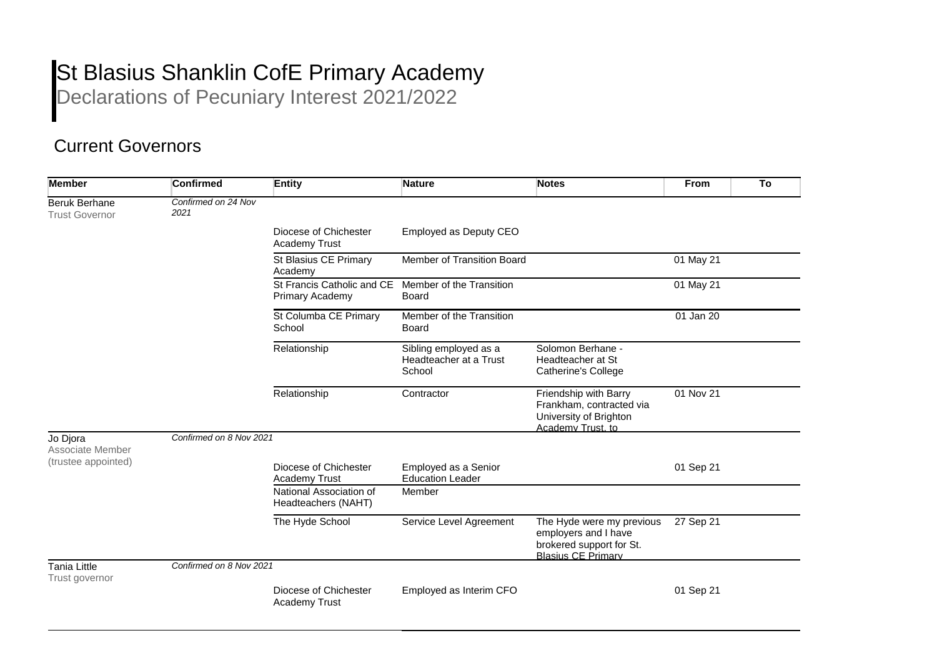## St Blasius Shanklin CofE Primary Academy

Declarations of Pecuniary Interest 2021/2022

## Current Governors

| <b>Member</b>                                       | <b>Confirmed</b>            | <b>Entity</b>                                  | <b>Nature</b>                                             | <b>Notes</b>                                                                                               | <b>From</b>            | To |
|-----------------------------------------------------|-----------------------------|------------------------------------------------|-----------------------------------------------------------|------------------------------------------------------------------------------------------------------------|------------------------|----|
| <b>Beruk Berhane</b><br><b>Trust Governor</b>       | Confirmed on 24 Nov<br>2021 |                                                |                                                           |                                                                                                            |                        |    |
|                                                     |                             | Diocese of Chichester<br>Academy Trust         | Employed as Deputy CEO                                    |                                                                                                            |                        |    |
|                                                     |                             | St Blasius CE Primary<br>Academy               | Member of Transition Board                                |                                                                                                            | 01 May 21              |    |
|                                                     |                             | St Francis Catholic and CE<br>Primary Academy  | Member of the Transition<br>Board                         |                                                                                                            | 01 May 21              |    |
|                                                     |                             | St Columba CE Primary<br>School                | Member of the Transition<br><b>Board</b>                  |                                                                                                            | 01 Jan 20              |    |
|                                                     |                             | Relationship                                   | Sibling employed as a<br>Headteacher at a Trust<br>School | Solomon Berhane -<br>Headteacher at St<br>Catherine's College                                              |                        |    |
|                                                     |                             | Relationship                                   | Contractor                                                | Friendship with Barry<br>Frankham, contracted via<br>University of Brighton<br>Academy Trust, to           | $\overline{01}$ Nov 21 |    |
| Jo Djora<br>Associate Member<br>(trustee appointed) | Confirmed on 8 Nov 2021     |                                                |                                                           |                                                                                                            |                        |    |
|                                                     |                             | Diocese of Chichester<br><b>Academy Trust</b>  | Employed as a Senior<br><b>Education Leader</b>           |                                                                                                            | 01 Sep 21              |    |
|                                                     |                             | National Association of<br>Headteachers (NAHT) | Member                                                    |                                                                                                            |                        |    |
|                                                     |                             | The Hyde School                                | Service Level Agreement                                   | The Hyde were my previous<br>employers and I have<br>brokered support for St.<br><b>Blasius CE Primary</b> | 27 Sep 21              |    |
| Tania Little<br>Trust governor                      | Confirmed on 8 Nov 2021     |                                                |                                                           |                                                                                                            |                        |    |
|                                                     |                             | Diocese of Chichester<br><b>Academy Trust</b>  | Employed as Interim CFO                                   |                                                                                                            | 01 Sep 21              |    |